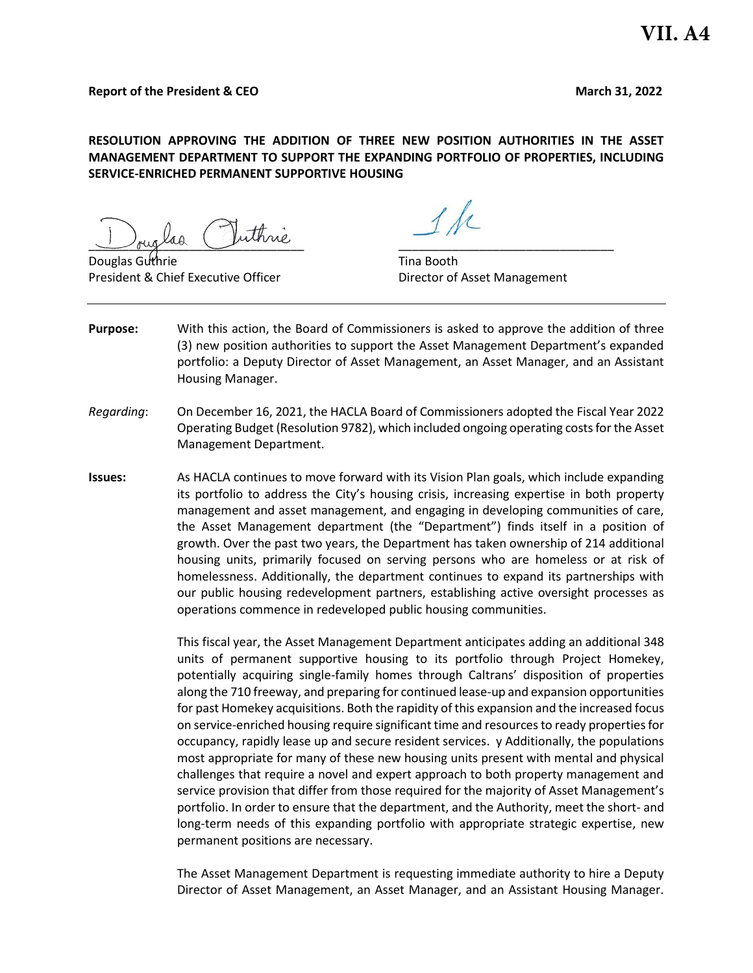### **Report of the President & CEO March 31, 2022**

**RESOLUTION APPROVING THE ADDITION OF THREE NEW POSITION AUTHORITIES IN THE ASSET MANAGEMENT DEPARTMENT TO SUPPORT THE EXPANDING PORTFOLIO OF PROPERTIES, INCLUDING SERVICE-ENRICHED PERMANENT SUPPORTIVE HOUSING**

 $\sim$  ougher the sum of  $\sim$ 

Douglas Guthrie **Time** Booth President & Chief Executive Officer **Director of Asset Management** 

- **Purpose:** With this action, the Board of Commissioners is asked to approve the addition of three (3) new position authorities to support the Asset Management Department's expanded portfolio: a Deputy Director of Asset Management, an Asset Manager, and an Assistant Housing Manager.
- *Regarding*: On December 16, 2021, the HACLA Board of Commissioners adopted the Fiscal Year 2022 Operating Budget (Resolution 9782), which included ongoing operating costs for the Asset Management Department.
- **Issues:** As HACLA continues to move forward with its Vision Plan goals, which include expanding its portfolio to address the City's housing crisis, increasing expertise in both property management and asset management, and engaging in developing communities of care, the Asset Management department (the "Department") finds itself in a position of growth. Over the past two years, the Department has taken ownership of 214 additional housing units, primarily focused on serving persons who are homeless or at risk of homelessness. Additionally, the department continues to expand its partnerships with our public housing redevelopment partners, establishing active oversight processes as operations commence in redeveloped public housing communities.

This fiscal year, the Asset Management Department anticipates adding an additional 348 units of permanent supportive housing to its portfolio through Project Homekey, potentially acquiring single-family homes through Caltrans' disposition of properties along the 710 freeway, and preparing for continued lease-up and expansion opportunities for past Homekey acquisitions. Both the rapidity of this expansion and the increased focus on service-enriched housing require significant time and resources to ready properties for occupancy, rapidly lease up and secure resident services. y Additionally, the populations most appropriate for many of these new housing units present with mental and physical challenges that require a novel and expert approach to both property management and service provision that differ from those required for the majority of Asset Management's portfolio. In order to ensure that the department, and the Authority, meet the short- and long-term needs of this expanding portfolio with appropriate strategic expertise, new permanent positions are necessary.

The Asset Management Department is requesting immediate authority to hire a Deputy Director of Asset Management, an Asset Manager, and an Assistant Housing Manager.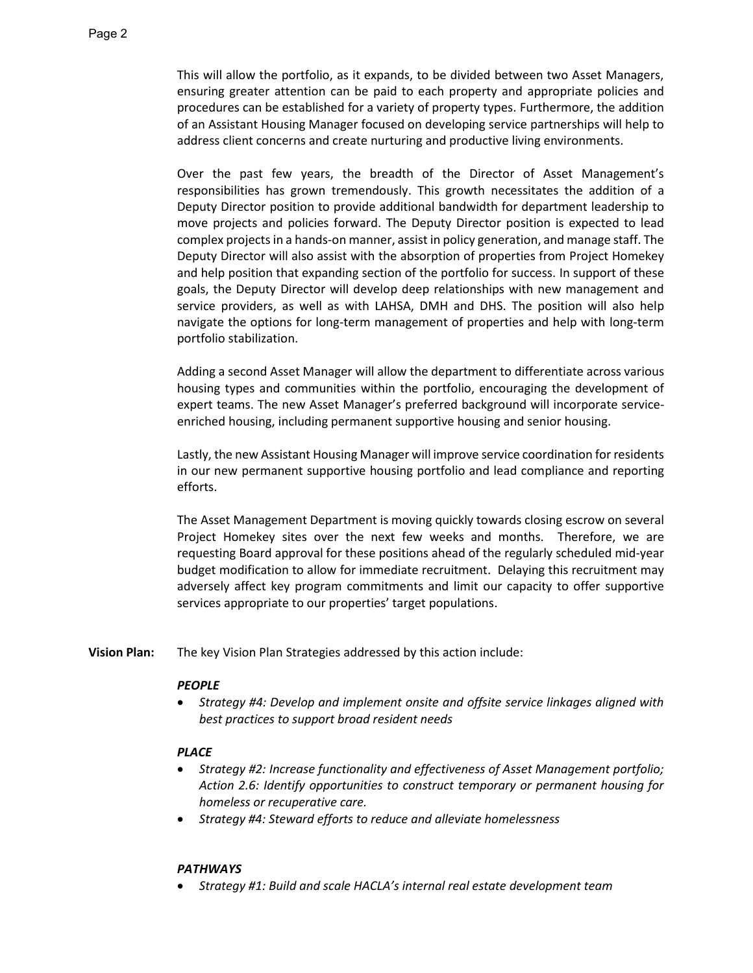This will allow the portfolio, as it expands, to be divided between two Asset Managers, ensuring greater attention can be paid to each property and appropriate policies and procedures can be established for a variety of property types. Furthermore, the addition of an Assistant Housing Manager focused on developing service partnerships will help to address client concerns and create nurturing and productive living environments.

Over the past few years, the breadth of the Director of Asset Management's responsibilities has grown tremendously. This growth necessitates the addition of a Deputy Director position to provide additional bandwidth for department leadership to move projects and policies forward. The Deputy Director position is expected to lead complex projects in a hands-on manner, assist in policy generation, and manage staff. The Deputy Director will also assist with the absorption of properties from Project Homekey and help position that expanding section of the portfolio for success. In support of these goals, the Deputy Director will develop deep relationships with new management and service providers, as well as with LAHSA, DMH and DHS. The position will also help navigate the options for long-term management of properties and help with long-term portfolio stabilization.

Adding a second Asset Manager will allow the department to differentiate across various housing types and communities within the portfolio, encouraging the development of expert teams. The new Asset Manager's preferred background will incorporate serviceenriched housing, including permanent supportive housing and senior housing.

Lastly, the new Assistant Housing Manager will improve service coordination for residents in our new permanent supportive housing portfolio and lead compliance and reporting efforts.

The Asset Management Department is moving quickly towards closing escrow on several Project Homekey sites over the next few weeks and months. Therefore, we are requesting Board approval for these positions ahead of the regularly scheduled mid-year budget modification to allow for immediate recruitment. Delaying this recruitment may adversely affect key program commitments and limit our capacity to offer supportive services appropriate to our properties' target populations.

**Vision Plan:** The key Vision Plan Strategies addressed by this action include:

### *PEOPLE*

x *Strategy #4: Develop and implement onsite and offsite service linkages aligned with best practices to support broad resident needs*

## *PLACE*

- x *Strategy #2: Increase functionality and effectiveness of Asset Management portfolio; Action 2.6: Identify opportunities to construct temporary or permanent housing for homeless or recuperative care.*
- x *Strategy #4: Steward efforts to reduce and alleviate homelessness*

## *PATHWAYS*

x *Strategy #1: Build and scale HACLA's internal real estate development team*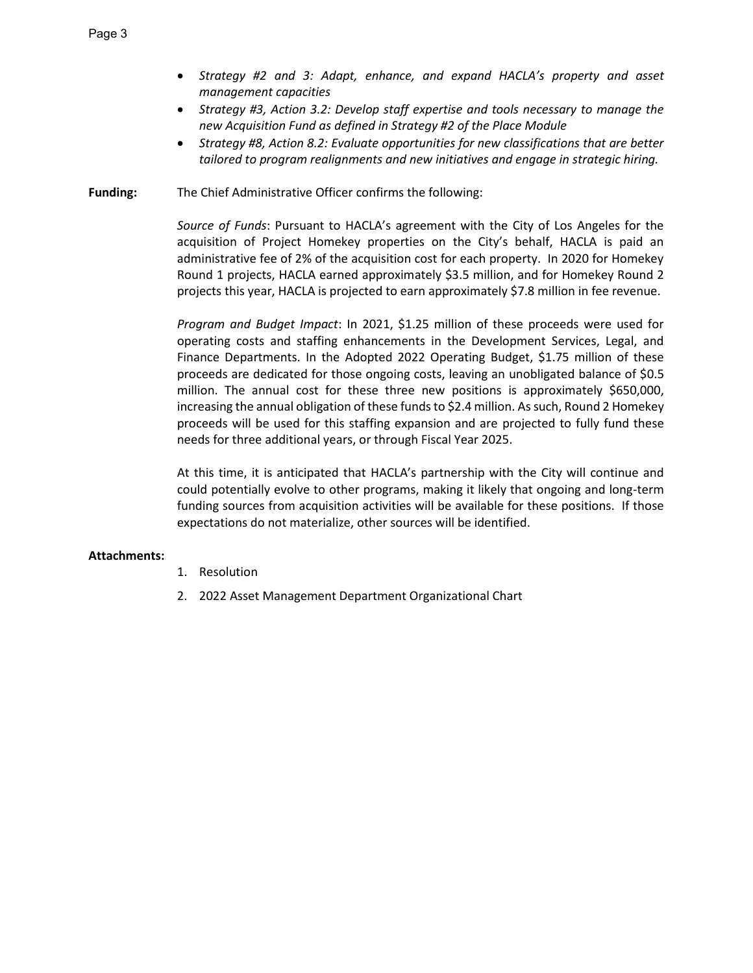- x *Strategy #2 and 3: Adapt, enhance, and expand HACLA's property and asset management capacities*
- x *Strategy #3, Action 3.2: Develop staff expertise and tools necessary to manage the new Acquisition Fund as defined in Strategy #2 of the Place Module*
- x *Strategy #8, Action 8.2: Evaluate opportunities for new classifications that are better tailored to program realignments and new initiatives and engage in strategic hiring.*

**Funding:** The Chief Administrative Officer confirms the following:

*Source of Funds*: Pursuant to HACLA's agreement with the City of Los Angeles for the acquisition of Project Homekey properties on the City's behalf, HACLA is paid an administrative fee of 2% of the acquisition cost for each property. In 2020 for Homekey Round 1 projects, HACLA earned approximately \$3.5 million, and for Homekey Round 2 projects this year, HACLA is projected to earn approximately \$7.8 million in fee revenue.

*Program and Budget Impact*: In 2021, \$1.25 million of these proceeds were used for operating costs and staffing enhancements in the Development Services, Legal, and Finance Departments. In the Adopted 2022 Operating Budget, \$1.75 million of these proceeds are dedicated for those ongoing costs, leaving an unobligated balance of \$0.5 million. The annual cost for these three new positions is approximately \$650,000, increasing the annual obligation of these funds to \$2.4 million. As such, Round 2 Homekey proceeds will be used for this staffing expansion and are projected to fully fund these needs for three additional years, or through Fiscal Year 2025.

At this time, it is anticipated that HACLA's partnership with the City will continue and could potentially evolve to other programs, making it likely that ongoing and long-term funding sources from acquisition activities will be available for these positions. If those expectations do not materialize, other sources will be identified.

### **Attachments:**

- 1. Resolution
- 2. 2022 Asset Management Department Organizational Chart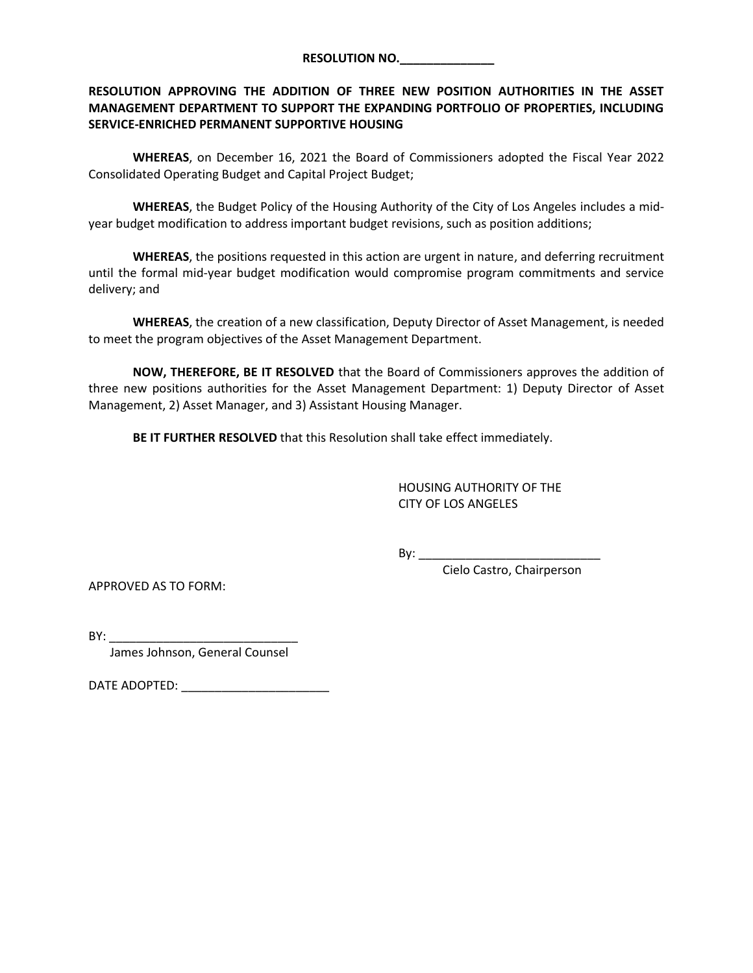## **RESOLUTION APPROVING THE ADDITION OF THREE NEW POSITION AUTHORITIES IN THE ASSET MANAGEMENT DEPARTMENT TO SUPPORT THE EXPANDING PORTFOLIO OF PROPERTIES, INCLUDING SERVICE-ENRICHED PERMANENT SUPPORTIVE HOUSING**

**WHEREAS**, on December 16, 2021 the Board of Commissioners adopted the Fiscal Year 2022 Consolidated Operating Budget and Capital Project Budget;

**WHEREAS**, the Budget Policy of the Housing Authority of the City of Los Angeles includes a midyear budget modification to address important budget revisions, such as position additions;

**WHEREAS**, the positions requested in this action are urgent in nature, and deferring recruitment until the formal mid-year budget modification would compromise program commitments and service delivery; and

**WHEREAS**, the creation of a new classification, Deputy Director of Asset Management, is needed to meet the program objectives of the Asset Management Department.

**NOW, THEREFORE, BE IT RESOLVED** that the Board of Commissioners approves the addition of three new positions authorities for the Asset Management Department: 1) Deputy Director of Asset Management, 2) Asset Manager, and 3) Assistant Housing Manager.

**BE IT FURTHER RESOLVED** that this Resolution shall take effect immediately.

HOUSING AUTHORITY OF THE CITY OF LOS ANGELES

 $By:$ 

Cielo Castro, Chairperson

APPROVED AS TO FORM:

BY: \_\_\_\_\_\_\_\_\_\_\_\_\_\_\_\_\_\_\_\_\_\_\_\_\_\_\_\_

James Johnson, General Counsel

DATE ADOPTED: \_\_\_\_\_\_\_\_\_\_\_\_\_\_\_\_\_\_\_\_\_\_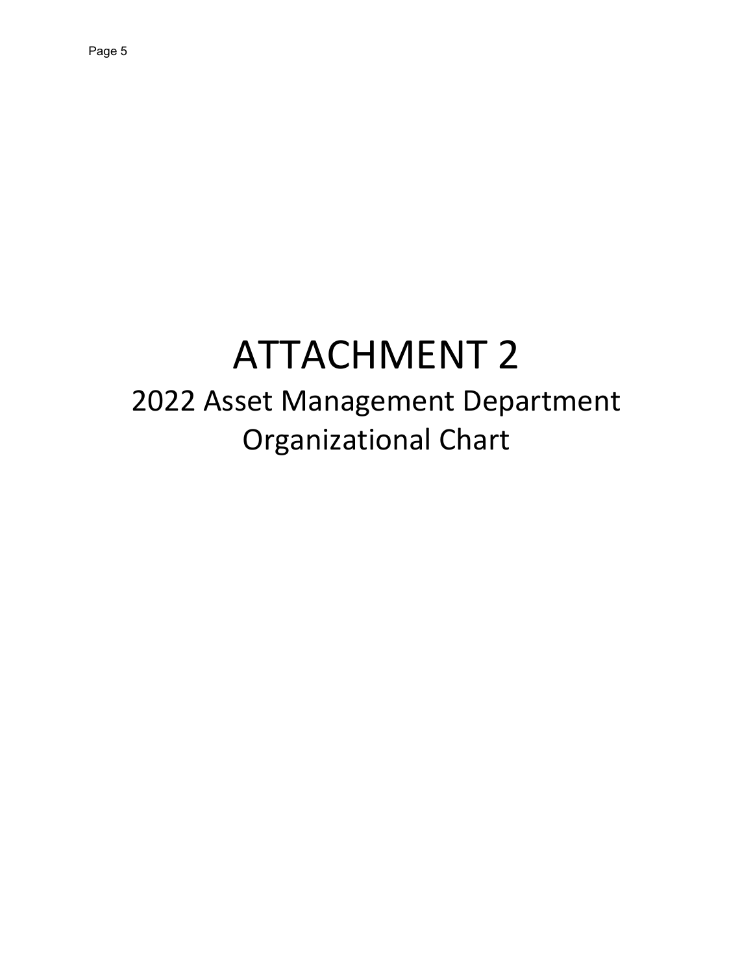# ATTACHMENT 2

2022 Asset Management Department Organizational Chart